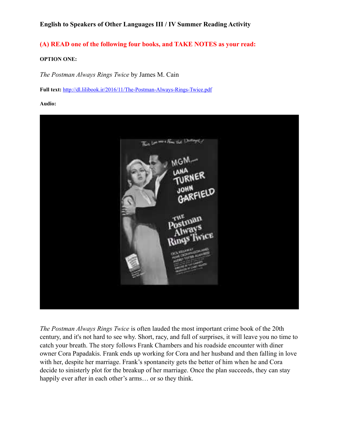## **(A) READ one of the following four books, and TAKE NOTES as your read:**

#### **OPTION ONE:**

*The Postman Always Rings Twice* by James M. Cain

**Full text:** <http://dl.lilibook.ir/2016/11/The-Postman-Always-Rings-Twice.pdf>

**Audio:**



*The Postman Always Rings Twice* is often lauded the most important crime book of the 20th century, and it's not hard to see why. Short, racy, and full of surprises, it will leave you no time to catch your breath. The story follows Frank Chambers and his roadside encounter with diner owner Cora Papadakis. Frank ends up working for Cora and her husband and then falling in love with her, despite her marriage. Frank's spontaneity gets the better of him when he and Cora decide to sinisterly plot for the breakup of her marriage. Once the plan succeeds, they can stay happily ever after in each other's arms... or so they think.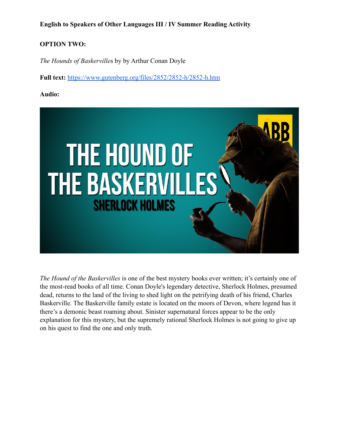## **OPTION TWO:**

*The Hounds of Baskerville*s by by Arthur Conan Doyle

**Full text:** <https://www.gutenberg.org/files/2852/2852-h/2852-h.htm>

### **Audio:**



*The Hound of the Baskervilles* is one of the best mystery books ever written; it's certainly one of the most-read books of all time. [Conan Doyle's legendary detective, Sherlock Holmes,](https://reedsy.com/discovery/blog/sherlock-holmes-books) presumed dead, returns to the land of the living to shed light on the petrifying death of his friend, Charles Baskerville. The Baskerville family estate is located on the moors of Devon, where legend has it there's a demonic beast roaming about. Sinister supernatural forces appear to be the only explanation for this mystery, but the supremely rational Sherlock Holmes is not going to give up on his quest to find the one and only truth.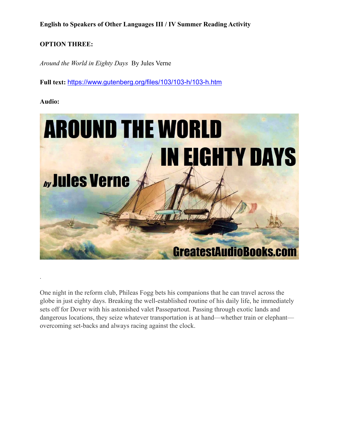## **OPTION THREE:**

*Around the World in Eighty Days* By Jules Verne

**Full text:** <https://www.gutenberg.org/files/103/103-h/103-h.htm>

### **Audio:**

.



One night in the reform club, Phileas Fogg bets his companions that he can travel across the globe in just eighty days. Breaking the well-established routine of his daily life, he immediately sets off for Dover with his astonished valet Passepartout. Passing through exotic lands and dangerous locations, they seize whatever transportation is at hand—whether train or elephant overcoming set-backs and always racing against the clock.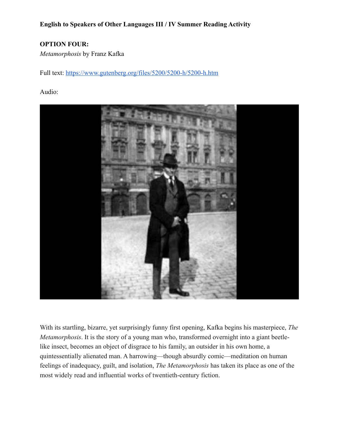# **OPTION FOUR:**

*Metamorphosis* by Franz Kafka

Full text: <https://www.gutenberg.org/files/5200/5200-h/5200-h.htm>

### Audio:



With its startling, bizarre, yet surprisingly funny first opening, Kafka begins his masterpiece, *The Metamorphosis*. It is the story of a young man who, transformed overnight into a giant beetlelike insect, becomes an object of disgrace to his family, an outsider in his own home, a quintessentially alienated man. A harrowing—though absurdly comic—meditation on human feelings of inadequacy, guilt, and isolation, *The Metamorphosis* has taken its place as one of the most widely read and influential works of twentieth-century fiction.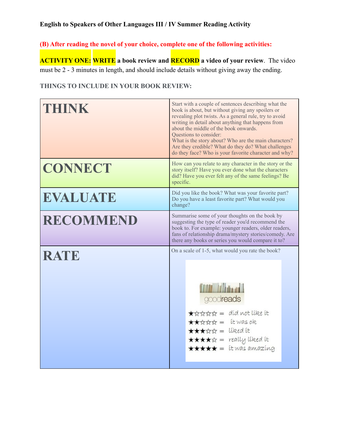**(B) After reading the novel of your choice, complete one of the following activities:** 

**ACTIVITY ONE: WRITE a book review and RECORD a video of your review**. The video must be 2 - 3 minutes in length, and should include details without giving away the ending.

## **THINGS TO INCLUDE IN YOUR BOOK REVIEW:**

| THINK           | Start with a couple of sentences describing what the<br>book is about, but without giving any spoilers or<br>revealing plot twists. As a general rule, try to avoid<br>writing in detail about anything that happens from<br>about the middle of the book onwards.<br>Questions to consider:<br>What is the story about? Who are the main characters?<br>Are they credible? What do they do? What challenges<br>do they face? Who is your favorite character and why? |
|-----------------|-----------------------------------------------------------------------------------------------------------------------------------------------------------------------------------------------------------------------------------------------------------------------------------------------------------------------------------------------------------------------------------------------------------------------------------------------------------------------|
| <b>CONNECT</b>  | How can you relate to any character in the story or the<br>story itself? Have you ever done what the characters<br>did? Have you ever felt any of the same feelings? Be<br>specific.                                                                                                                                                                                                                                                                                  |
| <b>EVALUATE</b> | Did you like the book? What was your favorite part?<br>Do you have a least favorite part? What would you<br>change?                                                                                                                                                                                                                                                                                                                                                   |
| RECOMMEND       | Summarise some of your thoughts on the book by<br>suggesting the type of reader you'd recommend the<br>book to. For example: younger readers, older readers,<br>fans of relationship drama/mystery stories/comedy. Are<br>there any books or series you would compare it to?                                                                                                                                                                                          |
| <b>RATE</b>     | On a scale of 1-5, what would you rate the book?<br><b>THE Hitler</b><br>goodreads<br>★☆☆☆☆ = did not like it<br>★★☆☆☆ = it was ok<br>★★★☆☆ = liked it<br><b>****</b> = really liked it<br>$\star \star \star \star =$ it was amazing                                                                                                                                                                                                                                 |